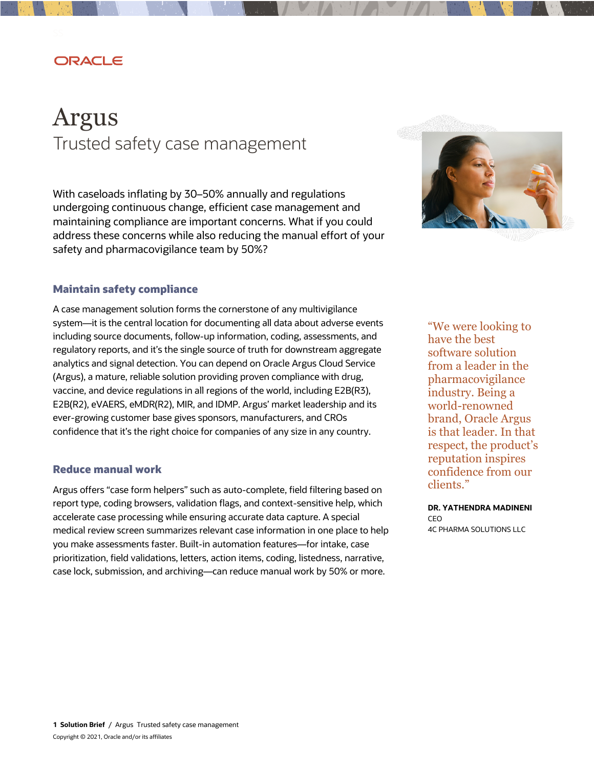## ORACLE

# Argus Trusted safety case management

 With caseloads inflating by 30–50% annually and regulations undergoing continuous change, efficient case management and maintaining compliance are important concerns. What if you could address these concerns while also reducing the manual effort of your safety and pharmacovigilance team by 50%?



#### **Maintain safety compliance**

 A case management solution forms the cornerstone of any multivigilance regulatory reports, and it's the single source of truth for downstream aggregate analytics and signal detection. You can depend on Oracle Argus Cloud Service (Argus), a mature, reliable solution providing proven compliance with drug, vaccine, and device regulations in all regions of the world, including E2B(R3), E2B(R2), eVAERS, eMDR(R2), MIR, and IDMP. Argus' market leadership and its ever-growing customer base gives sponsors, manufacturers, and CROs confidence that it's the right choice for companies of any size in any country. system—it is the central location for documenting all data about adverse events including source documents, follow-up information, coding, assessments, and

#### **Reduce manual work**

 Argus offers "case form helpers" such as auto-complete, field filtering based on report type, coding browsers, validation flags, and context-sensitive help, which accelerate case processing while ensuring accurate data capture. A special medical review screen summarizes relevant case information in one place to help you make assessments faster. Built-in automation features—for intake, case prioritization, field validations, letters, action items, coding, listedness, narrative, case lock, submission, and archiving—can reduce manual work by 50% or more.

 "We were looking to have the best software solution from a leader in the industry. Being a is that leader. In that respect, the product's reputation inspires confidence from our pharmacovigilance world-renowned brand, Oracle Argus clients."

 **DR. YATHENDRA MADINENI** CEO 4C PHARMA SOLUTIONS LLC